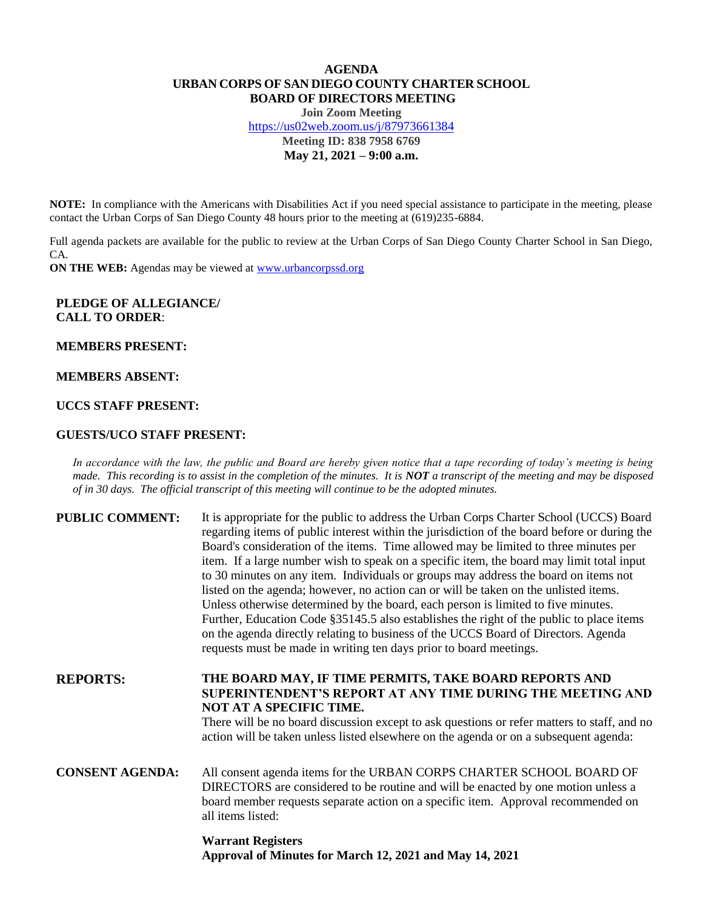# **AGENDA URBAN CORPS OF SAN DIEGO COUNTY CHARTER SCHOOL BOARD OF DIRECTORS MEETING**

**Join Zoom Meeting** <https://us02web.zoom.us/j/87973661384> **Meeting ID: 838 7958 6769 May 21, 2021 – 9:00 a.m.**

**NOTE:** In compliance with the Americans with Disabilities Act if you need special assistance to participate in the meeting, please contact the Urban Corps of San Diego County 48 hours prior to the meeting at (619)235-6884.

Full agenda packets are available for the public to review at the Urban Corps of San Diego County Charter School in San Diego, CA.

**ON THE WEB:** Agendas may be viewed at **www.urbancorpssd.org** 

## **PLEDGE OF ALLEGIANCE/ CALL TO ORDER**:

**MEMBERS PRESENT:**

#### **MEMBERS ABSENT:**

# **UCCS STAFF PRESENT:**

## **GUESTS/UCO STAFF PRESENT:**

*In accordance with the law, the public and Board are hereby given notice that a tape recording of today's meeting is being made. This recording is to assist in the completion of the minutes. It is NOT a transcript of the meeting and may be disposed of in 30 days. The official transcript of this meeting will continue to be the adopted minutes.*

| <b>PUBLIC COMMENT:</b> | It is appropriate for the public to address the Urban Corps Charter School (UCCS) Board<br>regarding items of public interest within the jurisdiction of the board before or during the<br>Board's consideration of the items. Time allowed may be limited to three minutes per<br>item. If a large number wish to speak on a specific item, the board may limit total input<br>to 30 minutes on any item. Individuals or groups may address the board on items not<br>listed on the agenda; however, no action can or will be taken on the unlisted items.<br>Unless otherwise determined by the board, each person is limited to five minutes.<br>Further, Education Code §35145.5 also establishes the right of the public to place items<br>on the agenda directly relating to business of the UCCS Board of Directors. Agenda<br>requests must be made in writing ten days prior to board meetings. |
|------------------------|----------------------------------------------------------------------------------------------------------------------------------------------------------------------------------------------------------------------------------------------------------------------------------------------------------------------------------------------------------------------------------------------------------------------------------------------------------------------------------------------------------------------------------------------------------------------------------------------------------------------------------------------------------------------------------------------------------------------------------------------------------------------------------------------------------------------------------------------------------------------------------------------------------|
| <b>REPORTS:</b>        | THE BOARD MAY, IF TIME PERMITS, TAKE BOARD REPORTS AND<br>SUPERINTENDENT'S REPORT AT ANY TIME DURING THE MEETING AND<br>NOT AT A SPECIFIC TIME.<br>There will be no board discussion except to ask questions or refer matters to staff, and no<br>action will be taken unless listed elsewhere on the agenda or on a subsequent agenda:                                                                                                                                                                                                                                                                                                                                                                                                                                                                                                                                                                  |
| <b>CONSENT AGENDA:</b> | All consent agenda items for the URBAN CORPS CHARTER SCHOOL BOARD OF<br>DIRECTORS are considered to be routine and will be enacted by one motion unless a<br>board member requests separate action on a specific item. Approval recommended on<br>all items listed:                                                                                                                                                                                                                                                                                                                                                                                                                                                                                                                                                                                                                                      |

**Warrant Registers Approval of Minutes for March 12, 2021 and May 14, 2021**